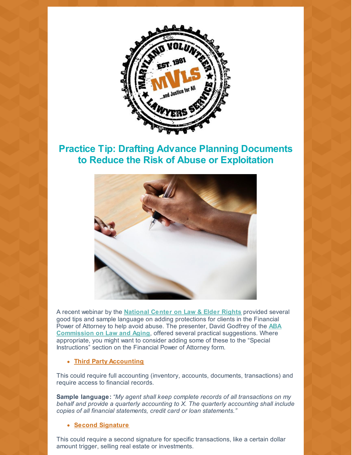

## **Practice Tip: Drafting Advance Planning Documents to Reduce the Risk of Abuse or Exploitation**



A recent webinar by the **[National](https://ncler.acl.gov/) Center on Law & Elder Rights** provided several good tips and sample language on adding protections for clients in the Financial Power of Attorney to help avoid abuse. The presenter, David Godfrey of the **ABA [Commission](https://www.americanbar.org/groups/law_aging.html) on Law and Aging**, offered several practical suggestions. Where appropriate, you might want to consider adding some of these to the "Special Instructions" section on the Financial Power of Attorney form.

### **Third Party Accounting**

This could require full accounting (inventory, accounts, documents, transactions) and require access to financial records.

**Sample language:** *"My agent shall keep complete records of all transactions on my behalf and provide a quarterly accounting to X. The quarterly accounting shall include copies of all financial statements, credit card or loan statements."*

#### **Second Signature**

This could require a second signature for specific transactions, like a certain dollar amount trigger, selling real estate or investments.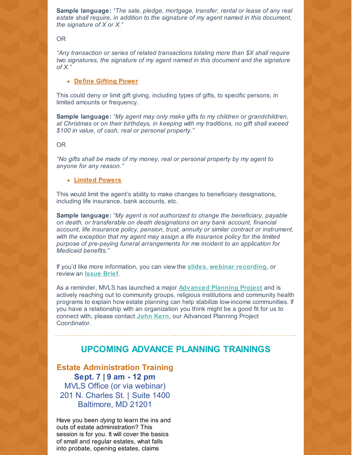**Sample language:** *"The sale, pledge, mortgage, transfer, rental or lease of any real estate shall require, in addition to the signature of my agent named in this document, the signature of X or X."*

OR

*"Any transaction or series of related transactions totaling more than \$X shall require two signatures, the signature of my agent named in this document and the signature of X."*

**Define Gifting Power**

This could deny or limit gift giving, including types of gifts, to specific persons, in limited amounts or frequency.

**Sample language:** *"My agent may only make gifts to my children or grandchildren, at Christmas or on their birthdays, in keeping with my traditions, no gift shall exceed \$100 in value, of cash, real or personal property."*

OR

*"No gifts shall be made of my money, real or personal property by my agent to anyone for any reason."*

#### **Limited Powers**

This would limit the agent's ability to make changes to beneficiary designations, including life insurance, bank accounts, etc.

**Sample language:** *"My agent is not authorized to change the beneficiary, payable on death, or transferable on death designations on any bank account, financial account, life insurance policy, pension, trust, annuity or similar contract or instrument, with the exception that my agent may assign a life insurance policy for the limited purpose of pre-paying funeral arrangements for me incident to an application for Medicaid benefits."*

If you'd like more information, you can view the **[slides](https://ncler.acl.gov/pdf/Advance Care Planning Slides.pdf?eType=EmailBlastContent&eId=a661a7b0-5012-4674-b00c-14bc855e2bf7)**, **webinar [recording](https://vimeo.com/265441023?eType=EmailBlastContent&eId=a661a7b0-5012-4674-b00c-14bc855e2bf7)**, or review an **[Issue](https://ncler.acl.gov/pdf/Advance Care Planning Issue Brief.pdf?eType=EmailBlastContent&eId=a661a7b0-5012-4674-b00c-14bc855e2bf7) Brief**.

As a reminder, MVLS has launched a major **[Advanced](https://mvlslaw.org/adv-planning/) Planning Project** and is actively reaching out to community groups, religious institutions and community health programs to explain how estate planning can help stabilize low-income communities. If you have a relationship with an organization you think might be a good fit for us to connect with, please contact **[John](mailto:jkern@mvlslaw.org) Kern**, our Advanced Planning Project Coordinator.

## **UPCOMING ADVANCE PLANNING TRAININGS**

**Estate Administration Training Sept. 7 | 9 am - 12 pm** MVLS Office (or via webinar) 201 N. Charles St. | Suite 1400 Baltimore, MD 21201

Have you been *dying* to learn the ins and outs of estate administration? This session is for you. It will cover the basics of small and regular estates, what falls into probate, opening estates, claims